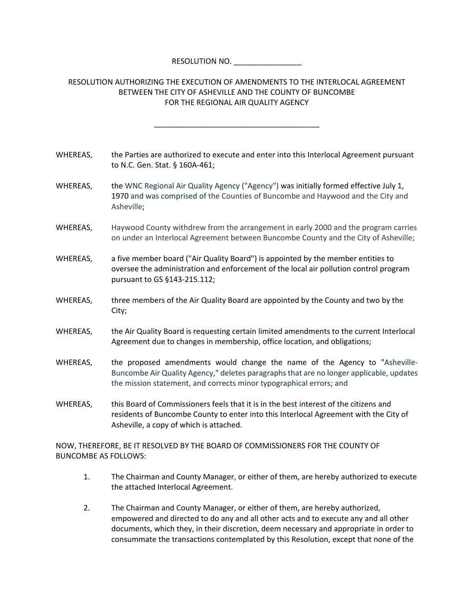RESOLUTION NO.

## RESOLUTION AUTHORIZING THE EXECUTION OF AMENDMENTS TO THE INTERLOCAL AGREEMENT BETWEEN THE CITY OF ASHEVILLE AND THE COUNTY OF BUNCOMBE FOR THE REGIONAL AIR QUALITY AGENCY

\_\_\_\_\_\_\_\_\_\_\_\_\_\_\_\_\_\_\_\_\_\_\_\_\_\_\_\_\_\_\_\_\_\_\_\_\_\_\_

| WHEREAS. | the Parties are authorized to execute and enter into this Interlocal Agreement pursuant |
|----------|-----------------------------------------------------------------------------------------|
|          | to N.C. Gen. Stat. § 160A-461;                                                          |

- WHEREAS, the WNC Regional Air Quality Agency ("Agency") was initially formed effective July 1, 1970 and was comprised of the Counties of Buncombe and Haywood and the City and Asheville;
- WHEREAS, Haywood County withdrew from the arrangement in early 2000 and the program carries on under an Interlocal Agreement between Buncombe County and the City of Asheville;
- WHEREAS, a five member board ("Air Quality Board") is appointed by the member entities to oversee the administration and enforcement of the local air pollution control program pursuant to GS §143‐215.112;
- WHEREAS, three members of the Air Quality Board are appointed by the County and two by the City;
- WHEREAS, the Air Quality Board is requesting certain limited amendments to the current Interlocal Agreement due to changes in membership, office location, and obligations;
- WHEREAS, the proposed amendments would change the name of the Agency to "Asheville-Buncombe Air Quality Agency," deletes paragraphsthat are no longer applicable, updates the mission statement, and corrects minor typographical errors; and
- WHEREAS, this Board of Commissioners feels that it is in the best interest of the citizens and residents of Buncombe County to enter into this Interlocal Agreement with the City of Asheville, a copy of which is attached.

NOW, THEREFORE, BE IT RESOLVED BY THE BOARD OF COMMISSIONERS FOR THE COUNTY OF BUNCOMBE AS FOLLOWS:

- 1. The Chairman and County Manager, or either of them, are hereby authorized to execute the attached Interlocal Agreement.
- 2. The Chairman and County Manager, or either of them, are hereby authorized, empowered and directed to do any and all other acts and to execute any and all other documents, which they, in their discretion, deem necessary and appropriate in order to consummate the transactions contemplated by this Resolution, except that none of the